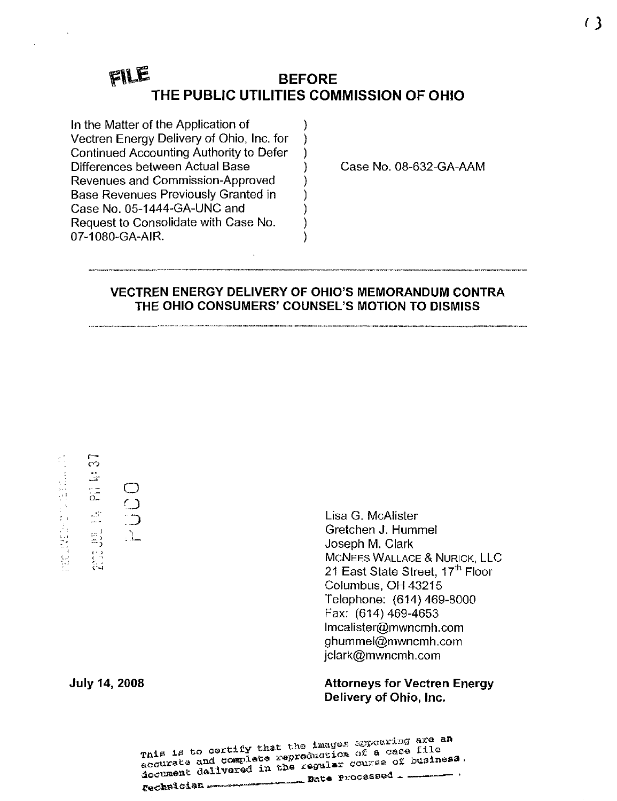#### FILE BEFORE THE PUBLIC UTILITIES COMMISSION OF OHIO

)

In the Matter of the Application of Vectren Energy Delivery of Ohio, Inc. for Continued Accounting Authority to Defer Differences between Actual Base Revenues and Commission-Approved Base Revenues Previously Granted in Case No. 05-1444-GA-UNC and Request to Consolidate with Case No. 07-1080-GA-AIR.

Case No. 08-632-GA-AAM

# VECTREN ENERGY DELIVERY OF OHIO'S MEMORANDUM CONTRA THE OHIO CONSUMERS' COUNSEL'S MOTION TO DISMISS

 $\overline{\mathbb{C}}$ 经工作经营 计自由标准设计  $\mathbb{L}^2$  $\frac{1}{\alpha}$  $\frac{1}{\sqrt{2}}$  $\mathbb{R}^1$  : -':>

 $\bigcirc$  $\cup$ :D - 1\_

Lisa G. McAlister Gretchen J. Hummel Joseph M. Clark MCNEES WALLACE & NURICK, LLC 21 East State Street, 17<sup>th</sup> Floor Columbus, OH 43215 Telephone: (614) 469-8000 Fax: (614) 469-4653 [lmcalister@mwncmh.com](mailto:lmcalister@mwncmh.com)  [ghummel@mwncmh.com](mailto:ghummel@mwncmh.com)  [jclark@mwncmh.com](mailto:jclark@mwncmh.com) 

July 14, 2008 Attorneys for Vectren Energy Delivery of Ohio, Inc.

> $\frac{1}{100}$  and complete  $\frac{1}{100}$   $\frac{1}{100}$   $\frac{1}{100}$  of business. accusant d^livarad -^^-^^^^ ^ p.oces.ed . \_— — >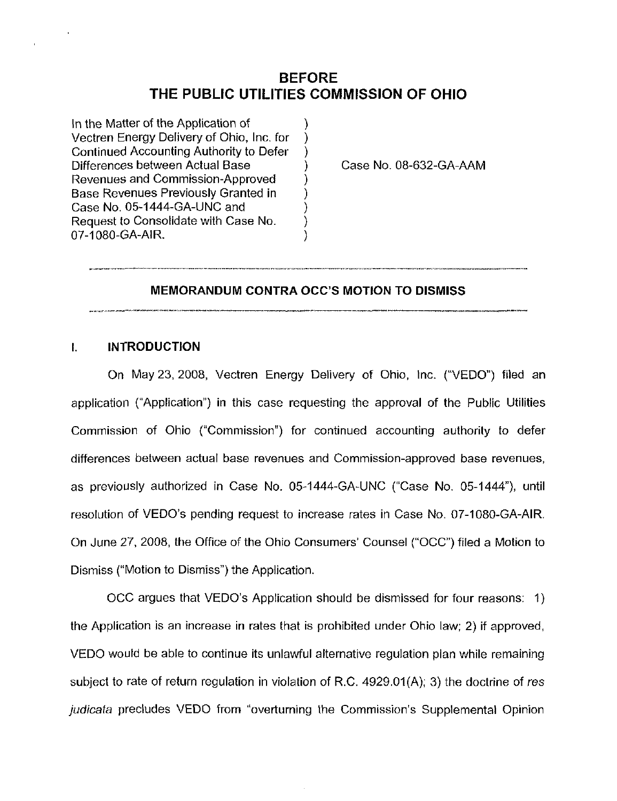# BEFORE THE PUBLIC UTILITIES COMMISSION OF OHIO

 $\mathcal{Y}$ )

 $\mathcal{Y}$ ì

In the Matter of the Application of Vectren Energy Delivery of Ohio, Inc. for Continued Accounting Authority to Defer Differences between Actual Base Revenues and Commission-Approved Base Revenues Previously Granted In Case No. 05-1444-GA-UNC and Request to Consolidate with Case No. 07-1080-GA-AIR.

Case No. 08-632-GA-AAM

#### MEMORANDUM CONTRA OCC'S MOTION TO DISMISS

### I. INTRODUCTION

On May 23, 2008, Vectren Energy Delivery of Ohio, Inc. ("VEDO") filed an application ("Application") in this case requesting the approval of the Public Utilities Commission of Ohio ("Commission") for continued accounting authority to defer differences between actual base revenues and Commission-approved base revenues, as previously authorized in Case No. 05-1444-GA-UNC ("Case No. 05-1444"), until resolution of VEDO's pending request to increase rates in Case No. 07-1080-GA-AIR. On June 27, 2008, the Office of the Ohio Consumers' Counsel ("OCC") filed a Motion to Dismiss ("Motion to Dismiss") the Application.

OCC argues that VEDO's Application should be dismissed for four reasons: 1) the Application is an increase in rates that is prohibited under Ohio law; 2) if approved, VEDO would be able to continue its unlawful alternative regulation plan while remaining subject to rate of return regulation in violation of R.C. 4929.01(A); 3) the doctrine of res judicata precludes VEDO from "overturning the Commission's Supplemental Opinion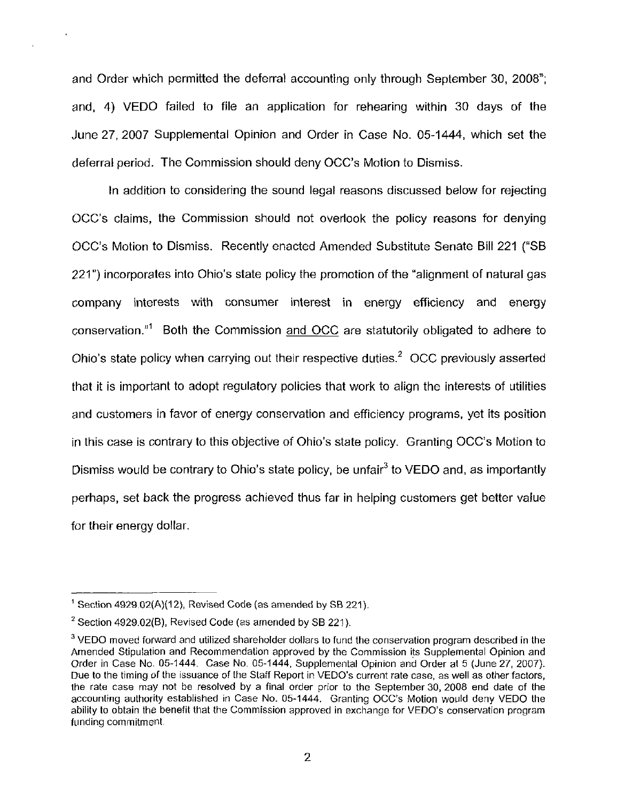and Order which permitted the deferral accounting only through September 30, 2008"; and, 4) VEDO failed to file an application for rehearing within 30 days of the June 27, 2007 Supplemental Opinion and Order in Case No. 05-1444, which set the deferral period. The Commission should deny OCC's Motion to Dismiss.

In addition to considering the sound legal reasons discussed below for rejecting OCC's claims, the Commission should not overlook the policy reasons for denying OCC's Motion to Dismiss. Recently enacted Amended Substitute Senate Bill 221 ("SB 221") incorporates into Ohio's state policy the promotion of the "alignment of natural gas company interests with consumer interest in energy efficiency and energy conservation."<sup>1</sup> Both the Commission and OCC are statutorily obligated to adhere to Ohio's state policy when carrying out their respective duties. $<sup>2</sup>$  OCC previously asserted</sup> that it is important to adopt regulatory policies that work to align the interests of utilities and customers in favor of energy conservation and efficiency programs, yet Its position in this case is contrary to this objective of Ohio's state policy. Granting OCC's Motion to Dismiss would be contrary to Ohio's state policy, be unfair<sup>3</sup> to VEDO and, as importantly perhaps, set back the progress achieved thus far in helping customers get better value for their energy dollar.

 $<sup>1</sup>$  Section 4929.02(A)(12), Revised Code (as amended by SB 221).</sup>

 $2$  Section 4929.02(B), Revised Code (as amended by SB 221).

 $3$  VEDO moved forward and utilized shareholder dollars to fund the conservation program described in the Amended Stipulation and Recommendation approved by the Commission its Supplemental Opinion and Order in Case No. 05-1444. Case No. 05-1444, Supplemental Opinion and Order at 5 (June 27, 2007). Due to the timing of the issuance of the Staff Report in VEDO's current rate case, as well as other factors, the rate case may not be resolved by a final order prior to the September 30, 2008 end date of the accounting authority established in Case No. 05-1444. Granting OCC's Motion would deny VEDO the ability to obtain the benefit that the Commission approved in exchange for VEDO's conservation program funding commitment.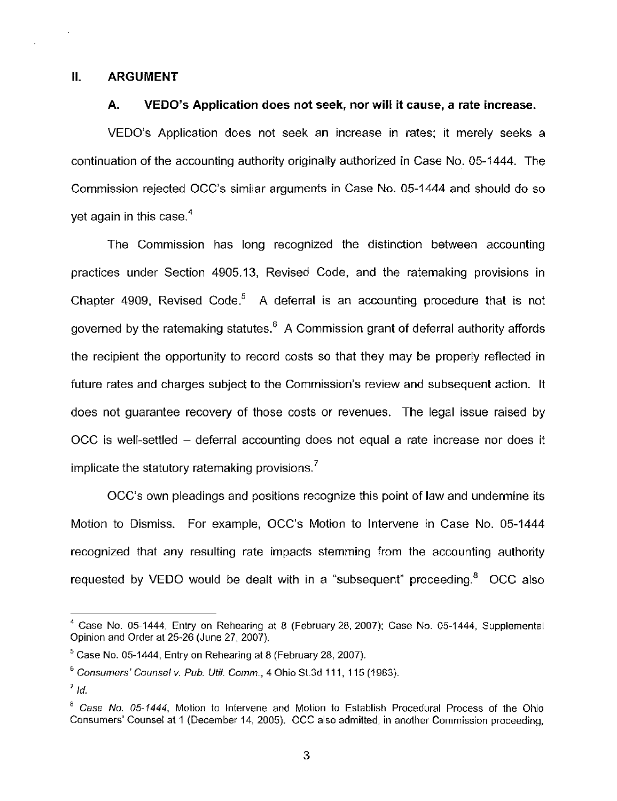#### II. ARGUMENT

#### A. VEDO's Application does not seek, nor will it cause, a rate increase.

VEDO's Application does not seek an increase in rates; it merely seeks a continuation of the accounting authority originally authorized In Case No. 05-1444. The Commission rejected OCC's similar arguments in Case No. 05-1444 and should do so yet again in this case. $<sup>4</sup>$ </sup>

The Commission has long recognized the distinction between accounting practices under Section 4905.13, Revised Code, and the ratemaking provisions in Chapter 4909, Revised Code.<sup>5</sup> A deferral is an accounting procedure that is not governed by the ratemaking statutes.® A Commission grant of deferral authority affords the recipient the opportunity to record costs so that they may be properly reflected in future rates and charges subject to the Commission's review and subsequent action. It does not guarantee recovery of those costs or revenues. The legal issue raised by OCC is well-settled - deferral accounting does not equal a rate increase nor does it implicate the statutory ratemaking provisions. $<sup>7</sup>$ </sup>

OCC's own pleadings and positions recognize this point of law and undermine its Motion to Dismiss. For example, OCC's Motion to Intervene in Case No. 05-1444 recognized that any resulting rate impacts stemming from the accounting authority requested by VEDO would be dealt with in a "subsequent" proceeding. $<sup>8</sup>$  OCC also</sup>

 $^4$  Case No. 05-1444, Entry on Rehearing at 8 (February 28, 2007); Case No. 05-1444, Supplemental Opinion and Order at 25-26 (June 27, 2007).

 $<sup>5</sup>$  Case No. 05-1444, Entry on Rehearing at 8 (February 28, 2007).</sup>

 $6$  Consumers' Counsel v. Pub. Util. Comm., 4 Ohio St.3d 111, 115 (1983).

 $^7$  Id.

 $8$  Case No. 05-1444, Motion to Intervene and Motion to Establish Procedural Process of the Ohio Consumers' Counsel at 1 (December 14, 2005). OCC also admitted, in another Commission proceeding,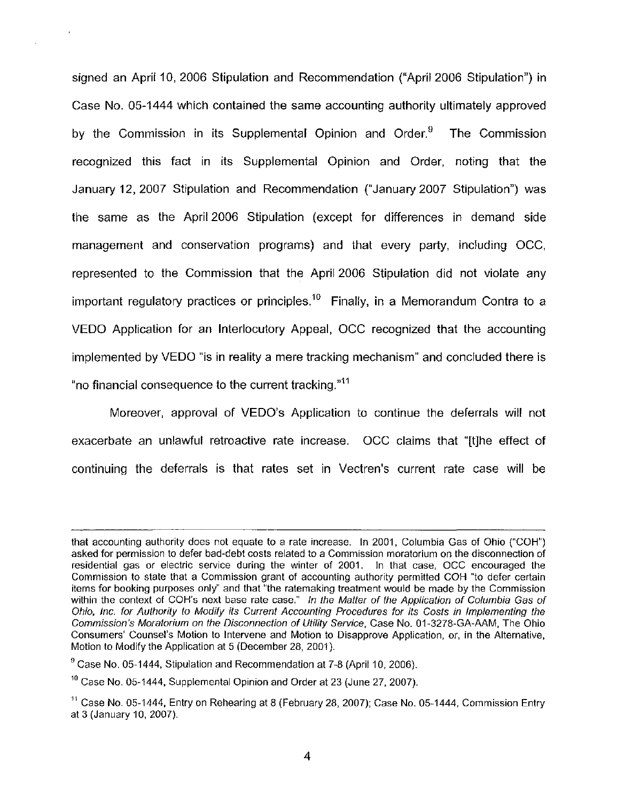signed an April 10, 2006 Stipulation and Recommendation ("April 2006 Stipulation") in Case No. 05-1444 which contained the same accounting authority ultimately approved by the Commission in its Supplemental Opinion and Order.<sup>9</sup> The Commission recognized this fact in its Supplemental Opinion and Order, noting that the January 12, 2007 Stipulation and Recommendation ("January 2007 Stipulation") was the same as the April 2006 Stipulation (except for differences in demand side management and conservation programs) and that every party, including OCC, represented to the Commission that the April 2006 Stipulation did not violate any important regulatory practices or principles.<sup>10</sup> Finally, in a Memorandum Contra to a VEDO Application for an Interlocutory Appeal, OCC recognized that the accounting implemented by VEDO "is in reality a mere tracking mechanism" and concluded there is "no financial consequence to the current tracking."<sup>11</sup>

Moreover, approval of VEDO's Application to continue the deferrals will not exacerbate an unlawful retroactive rate increase. OCC claims that "[t]he effect of continuing the deferrals is that rates set in Vectren's current rate case will be

that accounting authority does not equate to a rate increase. In 2001, Columbia Gas of Ohio ("COH") asked for permission to defer bad-debt costs related to a Commission moratorium on the disconnection of residential gas or electric service during the winter of 2001. In that case, OCC encouraged the Commission to state that a Commission grant of accounting authority permitted COH "to defer certain items for booking purposes only" and that "the ratemaking treatment would be made by the Commission within the context of COH's next base rate case." In the Matter of the Application of Columbia Gas of Ohio, Inc. for Authority to Modify its Current Accounting Procedures for its Costs in Implementing the Commission's Moratorium on the Disconnection of Utility Service, Case No. 01-3278-GA-AAM, The Ohio Consumers' Counsel's Motion to Intervene and Motion to Disapprove Application, or, in the Alternative, Motion to Modify the Application at 5 (December 28, 2001).

 $^9$  Case No. 05-1444, Stipulation and Recommendation at 7-8 (April 10, 2006).

 $^{10}$  Case No. 05-1444, Supplemental Opinion and Order at 23 (June 27, 2007).

 $11$  Case No. 05-1444, Entry on Rehearing at 8 (February 28, 2007); Case No. 05-1444, Commission Entry at 3 (January 10, 2007).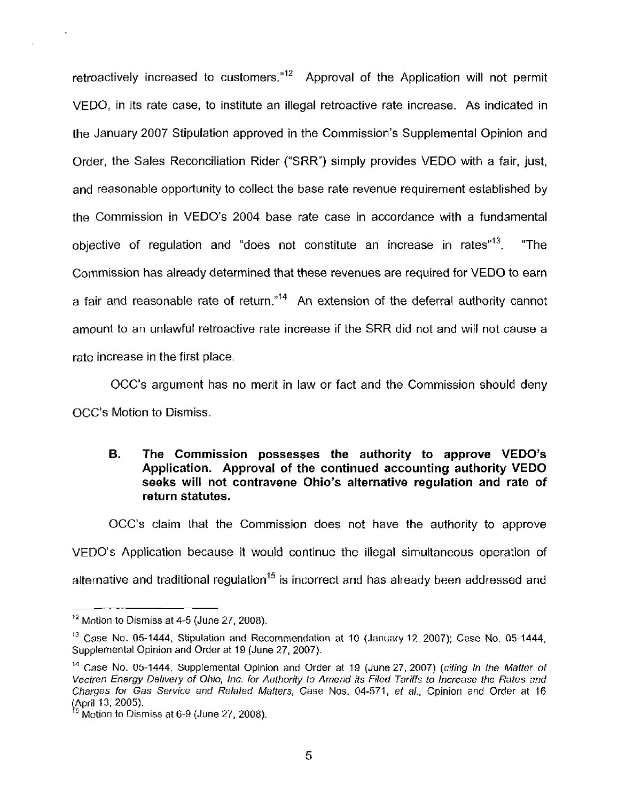retroactively increased to customers." $^{12}$  Approval of the Application will not permit VEDO, in its rate case, to institute an illegal retroactive rate increase. As indicated in the January 2007 Stipulation approved in the Commission's Supplemental Opinion and Order, the Sales Reconciliation Rider ("SRR") simply provides VEDO with a fair, just, and reasonable opportunity to collect the base rate revenue requirement established by the Commission in VEDO's 2004 base rate case in accordance with a fundamental objective of regulation and "does not constitute an increase in rates"<sup>13</sup>. "The Commission has already determined that these revenues are required for VEDO to earn a fair and reasonable rate of return."<sup>14</sup> An extension of the deferral authority cannot amount to an unlawful retroactive rate increase if the SRR did not and will not cause a rate increase in the first place.

OCC's argument has no merit in law or fact and the Commission should deny OCC's Motion to Dismiss.

# B. The Commission possesses the authority to approve VEDO's Application. Approval of the continued accounting authority VEDO seeks will not contravene Ohio's alternative regulation and rate of return statutes.

OCC's claim that the Commission does not have the authority to approve VEDO's Application because it would continue the illegal simultaneous operation of alternative and traditional regulation<sup>15</sup> is incorrect and has already been addressed and

 $12$  Motion to Dismiss at 4-5 (June 27, 2008).

<sup>&</sup>lt;sup>13</sup> Case No. 05-1444, Stipulation and Recommendation at 10 (January 12, 2007); Case No. 05-1444, Supplemental Opinion and Order at 19 (June 27, 2007).

<sup>&</sup>lt;sup>14</sup> Case No. 05-1444, Supplemental Opinion and Order at 19 (June 27, 2007) (citing In the Matter of Vectren Energy Delivery of Ohio, Inc. for Authority to Amend its Filed Tariffs to Increase the Rates and Charges for Gas Service and Related Matters, Case Nos. 04-571, et ai. Opinion and Order at 16 (April 13,2005).

<sup>^^</sup> Motion to Dismiss at 6-9 (June 27, 2008).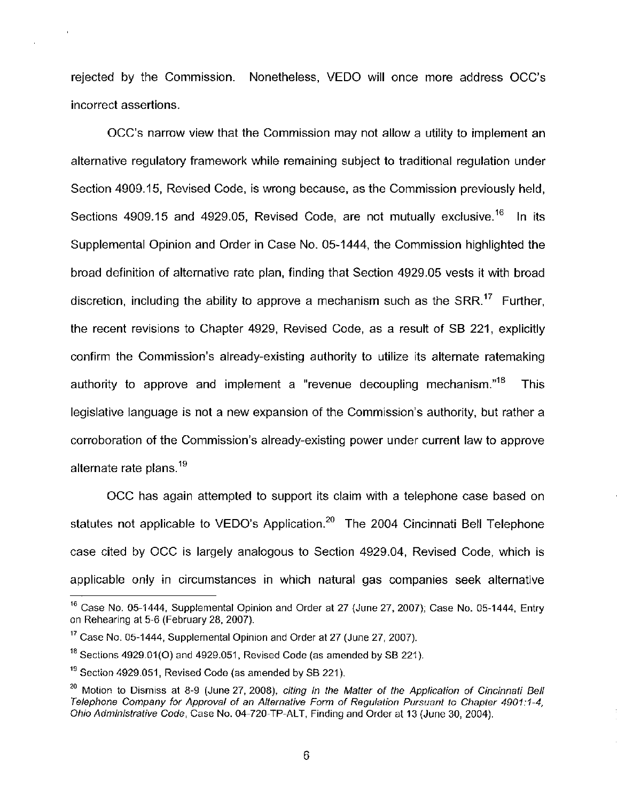rejected by the Commission. Nonetheless, VEDO will once more address OCC's incorrect assertions.

OCC's narrow view that the Commission may not allow a utility to implement an alternative regulatory framework while remaining subject to traditional regulation under Section 4909.15, Revised Code, is wrong because, as the Commission previously held, Sections 4909.15 and 4929.05, Revised Code, are not mutually exclusive.<sup>16</sup> In its Supplemental Opinion and Order in Case No. 05-1444, the Commission highlighted the broad definition of alternative rate plan, finding that Section 4929.05 vests it with broad discretion, including the ability to approve a mechanism such as the  $SRR$ <sup>17</sup> Further, the recent revisions to Chapter 4929, Revised Code, as a result of SB 221, explicitly confirm the Commission's already-existing authority to utilize its alternate ratemaking authority to approve and implement a "revenue decoupling mechanism. $n^{18}$  This legislative language is not a new expansion of the Commission's authority, but rather a corroboration of the Commission's already-existing power under current law to approve alternate rate plans. $19$ 

OCC has again attempted to support its claim with a telephone case based on statutes not applicable to VEDO's Application. $20$  The 2004 Cincinnati Bell Telephone case cited by OCC Is largely analogous to Section 4929.04, Revised Code, which is applicable only in circumstances in which natural gas companies seek alternative

 $<sup>16</sup>$  Case No. 05-1444, Supplemental Opinion and Order at 27 (June 27, 2007); Case No. 05-1444, Entry</sup> on Rehearing at 5-6 (February 28, 2007).

 $^{17}$  Case No. 05-1444, Supplemental Opinion and Order at 27 (June 27, 2007).

 $^{18}$  Sections 4929.01(O) and 4929.051, Revised Code (as amended by SB 221).

<sup>&</sup>lt;sup>19</sup> Section 4929.051, Revised Code (as amended by SB 221).

<sup>&</sup>lt;sup>20</sup> Motion to Dismiss at 8-9 (June 27, 2008), citing In the Matter of the Application of Cincinnati Bell Telephone Company for Approval of an Alternative Form of Regulation Pursuant to Chapter 4901:1-4, Telephone Company for Approval of an Alternative Form of Regulation Pursuant to Chapter 4901:1-4, Ohio Administrative Code, Case No. 04-720-TP-ALT, Finding and Order at 13 (June 30, 2004).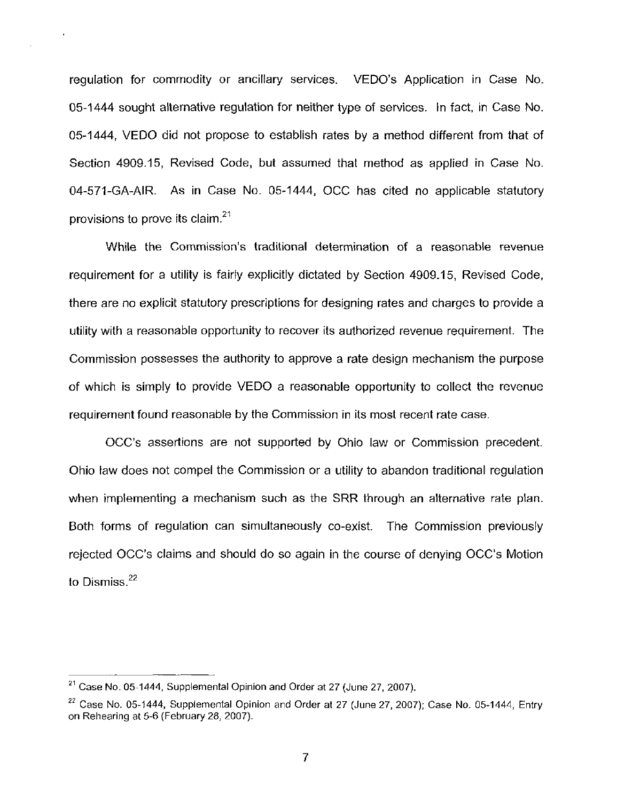regulation for commodity or ancillary services. VEDO's Application in Case No. 05-1444 sought alternative regulation for neither type of services, in fact, in Case No. 05-1444, VEDO did not propose to establish rates by a method different from that of Section 4909.15, Revised Code, but assumed that method as applied in Case No. 04-571-GA-AIR. As in Case No. 05-1444, OCC has cited no applicable statutory provisions to prove its claim. $21$ 

 $\bar{\textbf{z}}$ 

While the Commission's traditional determination of a reasonable revenue requirement for a utility is fairly explicitly dictated by Section 4909.15, Revised Code, there are no explicit statutory prescriptions for designing rates and charges to provide a utility with a reasonable opportunity to recover its authorized revenue requirement. The Commission possesses the authority to approve a rate design mechanism the purpose of which is simply to provide VEDO a reasonable opportunity to collect the revenue requirement found reasonable by the Commission in its most recent rate case.

OCC's assertions are not supported by Ohio law or Commission precedent. Ohio law does not compel the Commission or a utility to abandon traditional regulation when implementing a mechanism such as the SRR through an alternative rate plan. Both forms of regulation can simultaneously co-exist. The Commission previously rejected OCC's claims and should do so again in the course of denying OCC's Motion to Dismiss. $22$ 

 $^{21}$  Case No. 05-1444, Supplemental Opinion and Order at 27 (June 27, 2007).

 $^{22}$  Case No. 05-1444, Supplemental Opinion and Order at 27 (June 27, 2007); Case No. 05-1444, Entry on Rehearing at 5-6 (February 28, 2007)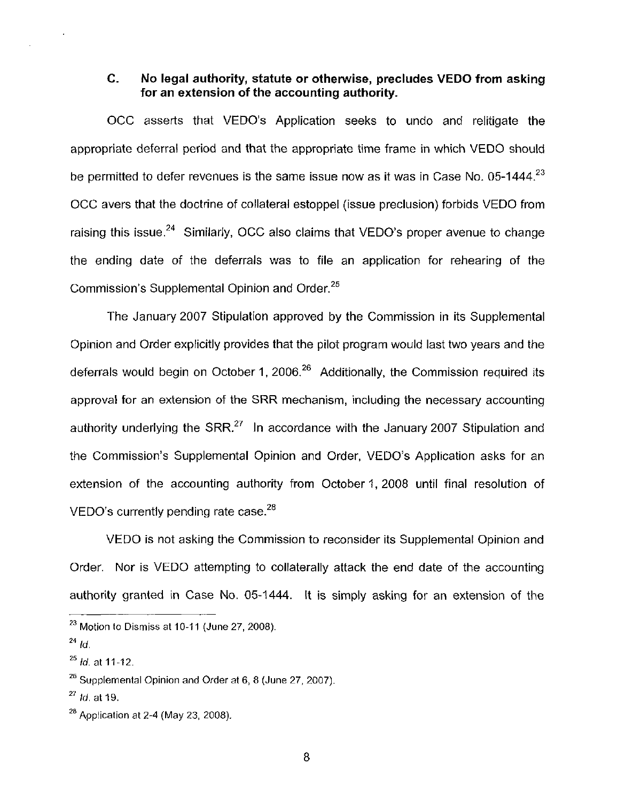# C. No legal authority, statute or otherwise, precludes VEDO from asking for an extension of the accounting authority.

OCC asserts that VEDO's Application seeks to undo and relitigate the appropriate deferral period and that the appropriate time frame in which VEDO should be permitted to defer revenues is the same issue now as it was in Case No. 05-1444.<sup>23</sup> OCC avers that the doctrine of collateral estoppel (issue preclusion) forbids VEDO from raising this issue.<sup>24</sup> Similarly, OCC also claims that VEDO's proper avenue to change the ending date of the deferrals was to file an application for rehearing of the Commission's Supplemental Opinion and Order.<sup>25</sup>

The January 2007 Stipulation approved by the Commission in its Supplemental Opinion and Order explicitly provides that the pilot program would last two years and the deferrals would begin on October 1, 2006. $^{26}$  Additionally, the Commission required its approval for an extension of the SRR mechanism, including the necessary accounting authority underlying the  $SRR<sup>27</sup>$  In accordance with the January 2007 Stipulation and the Commission's Supplemental Opinion and Order, VEDO's Application asks for an extension of the accounting authority from October 1, 2008 until final resolution of VEDO's currently pending rate case. $^{28}$ 

VEDO is not asking the Commission to reconsider its Supplemental Opinion and Order. Nor is VEDO attempting to collaterally attack the end date of the accounting authority granted in Case No. 05-1444. It is simply asking for an extension of the

 $^{23}$  Motion to Dismiss at 10-11 (June 27, 2008).

 $^{24}$  Id.

 $^{25}$  *id.* at 11-12.

 $^{26}$  Supplemental Opinion and Order at 6, 8 (June 27, 2007).

 $^{27}$  *Id.* at 19.

 $^{28}$  Application at 2-4 (May 23, 2008).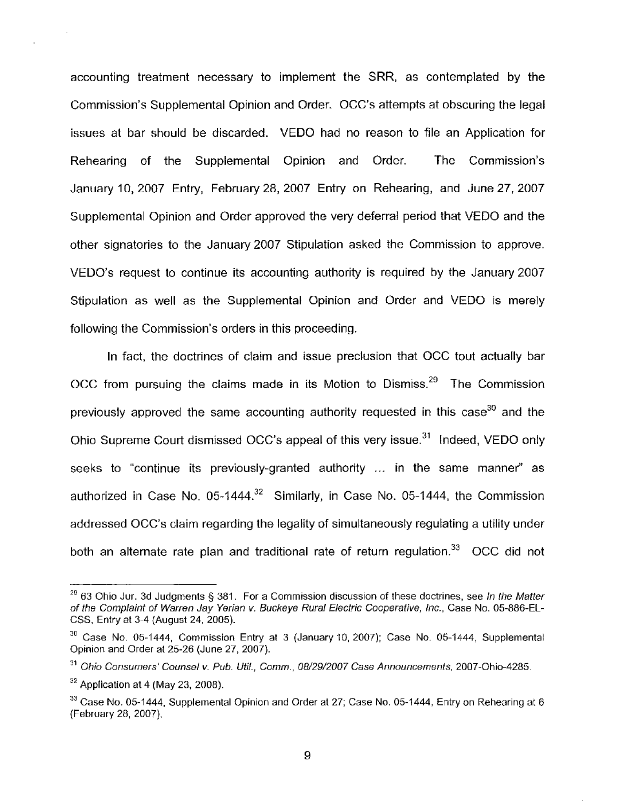accounting treatment necessary to implement the SRR, as contemplated by the Commission's Supplemental Opinion and Order. OCC's attempts at obscuring the legal issues at bar should be discarded. VEDO had no reason to file an Application for Rehearing of the Supplemental Opinion and Order. The Commission's January 10, 2007 Entry, February 28, 2007 Entry on Rehearing, and June 27, 2007 Supplemental Opinion and Order approved the very deferral period that VEDO and the other signatories to the January 2007 Stipulation asked the Commission to approve. VEDO's request to continue its accounting authority is required by the January 2007 Stipulation as well as the Supplemental Opinion and Order and VEDO is merely following the Commission's orders in this proceeding.

In fact, the doctrines of claim and issue preclusion that OCC tout actually bar OCC from pursuing the claims made in its Motion to Dismiss. $^{29}$  The Commission previously approved the same accounting authority requested in this case<sup>30</sup> and the Ohio Supreme Court dismissed OCC's appeal of this very issue.<sup>31</sup> Indeed, VEDO only seeks to "continue its previously-granted authority ... In the same manner" as authorized in Case No. 05-1444.<sup>32</sup> Similarly, in Case No. 05-1444, the Commission addressed OCC's claim regarding the legality of simultaneously regulating a utility under both an alternate rate plan and traditional rate of return regulation. $33$  OCC did not

 $^{29}$  63 Ohio Jur. 3d Judgments § 381. For a Commission discussion of these doctrines, see In the Matter of the Complaint of Warren Jay Yerian v. Buckeye Rural Electric Cooperative, Inc., Case No. 05-886-EL-CSS, Entry at 3-4 (August 24, 2005).

 $^{30}$  Case No. 05-1444, Commission Entry at 3 (January 10, 2007); Case No. 05-1444, Supplemental Opinion and Order at 25-26 (June 27, 2007).

<sup>&</sup>lt;sup>31</sup> Ohio Consumers' Counsel v. Pub. Util., Comm., 08/29/2007 Case Announcements, 2007-Ohio-4285.

 $32$  Application at 4 (May 23, 2008).

 $^{33}$  Case No. 05-1444, Supplemental Opinion and Order at 27; Case No. 05-1444, Entry on Rehearing at 6 (February 28, 2007).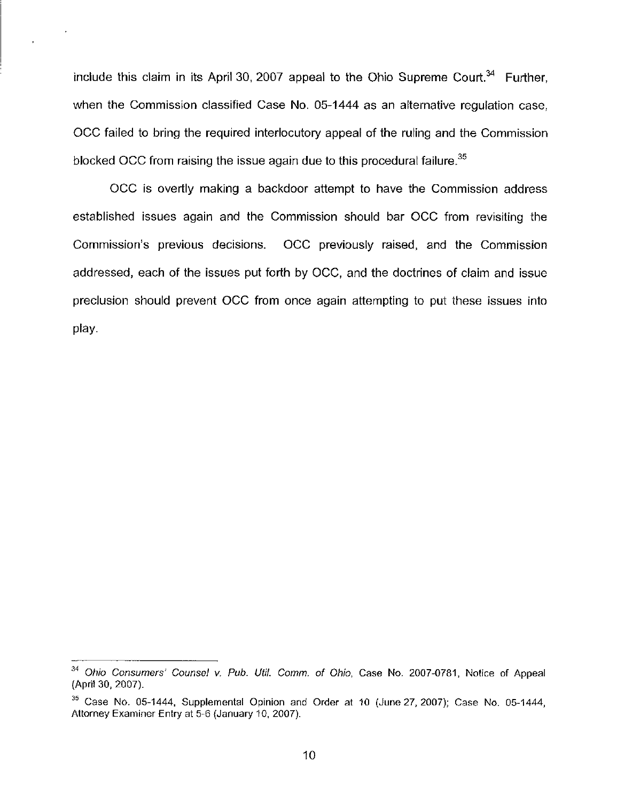include this claim in its April 30, 2007 appeal to the Ohio Supreme Court. $34$  Further, when the Commission classified Case No. 05-1444 as an alternative regulation case, OCC failed to bring the required interlocutory appeal of the ruling and the Commission blocked OCC from raising the issue again due to this procedural failure. $35$ 

OCC Is overtly making a backdoor attempt to have the Commission address established issues again and the Commission should bar OCC from revisiting the Commission's previous decisions. OCC previously raised, and the Commission addressed, each of the issues put forth by OCC, and the doctrines of claim and issue preclusion should prevent OCC from once again attempting to put these issues into play.

<sup>&</sup>lt;sup>34</sup> Ohio Consumers' Counsel v. Pub. Util. Comm. of Ohio, Case No. 2007-0781, Notice of Appeal (April 30, 2007).

 $35$  Case No. 05-1444, Supplemental Opinion and Order at 10 (June 27, 2007); Case No. 05-1444, Attorney Examiner Entry at 5-6 (January 10, 2007).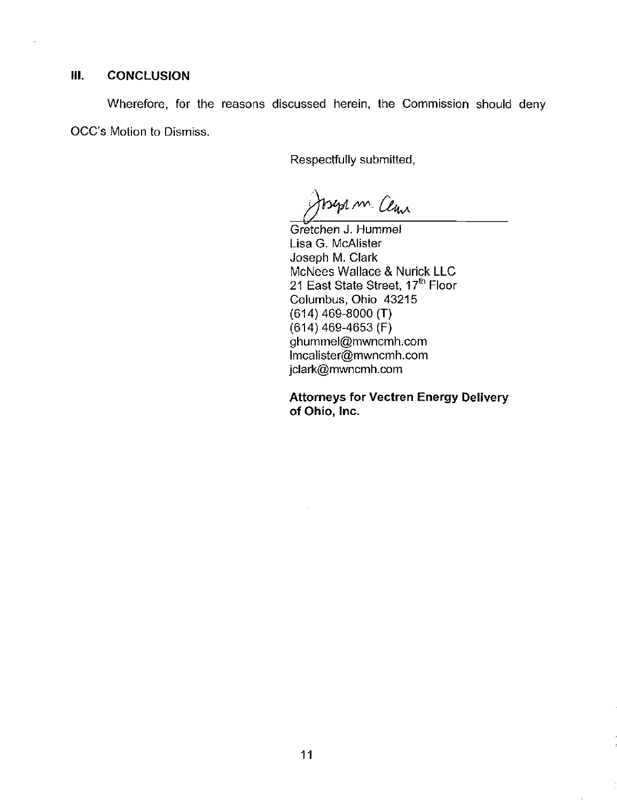# **III. CONCLUSION**

Wherefore, for the reasons discussed herein, the Commission should deny OCC's Motion to Dismiss.

Respectfully submitted.

Bept m. Clan

Gretchen J. Hummel Lisa G. McAlister Joseph M. Clark McNees Wallace & Nurick LLC 21 East State Street, 17<sup>th</sup> Floor Columbus, Ohio 43215 (614) 469-8000 (T) (614) 469-4653 (F) [ghummel@mwncmh.com](mailto:ghummel@mwncmh.com)  lmcalister(gmwncmh.com [jclark@mwncmh.com](mailto:jclark@mwncmh.com) 

Attorneys for Vectren Energy Delivery of Ohio, Inc.